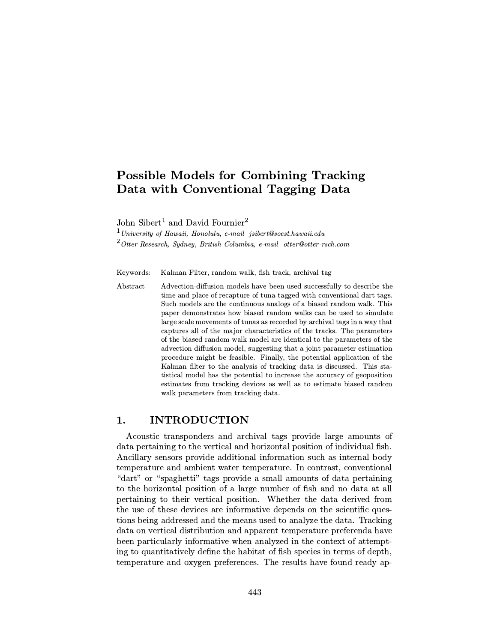# Possible Models for Combining Tracking Data with Conventional Tagging Data

John Sibert<sup>1</sup> and David Fournier<sup>2</sup>

 $1$ University of Hawaii, Honolulu, e-mail jsibert@soest.hawaii.edu

 $2$ Otter Research, Sydney, British Columbia, e-mail otter@otter-rsch.com

Keywords: Kalman Filter, random walk, fish track, archival tag

Abstract Advection-diffusion models have been used successfully to describe the time and place of recapture of tuna tagged with conventional dart tags. Such models are the continuous analogs of a biased random walk. This paper demonstrates how biased random walks can be used to simulate large scale movements of tunas as recorded by archival tags in a way that captures all of the major characteristics of the tracks. The parameters of the biased random walk model are identical to the parameters of the advection diffusion model, suggesting that a joint parameter estimation procedure might be feasible. Finally, the potential application of the Kalman filter to the analysis of tracking data is discussed. This statistical model has the potential to increase the accuracy of geoposition estimates from tracking devices as well as to estimate biased random walk parameters from tracking data.

## 1. INTRODUCTION

Acoustic transponders and archival tags provide large amounts of data pertaining to the vertical and horizontal position of individual fish. Ancillary sensors provide additional information such as internal body temperature and ambient water temperature. In contrast, conventional "dart" or "spaghetti" tags provide a small amounts of data pertaining to the horizontal position of a large number of fish and no data at all pertaining to their vertical position. Whether the data derived from the use of these devices are informative depends on the scientific questions being addressed and the means used to analyze the data. Tracking data on vertical distribution and apparent temperature preferenda have been particularly informative when analyzed in the context of attempting to quantitatively define the habitat of fish species in terms of depth, temperature and oxygen preferences. The results have found ready ap-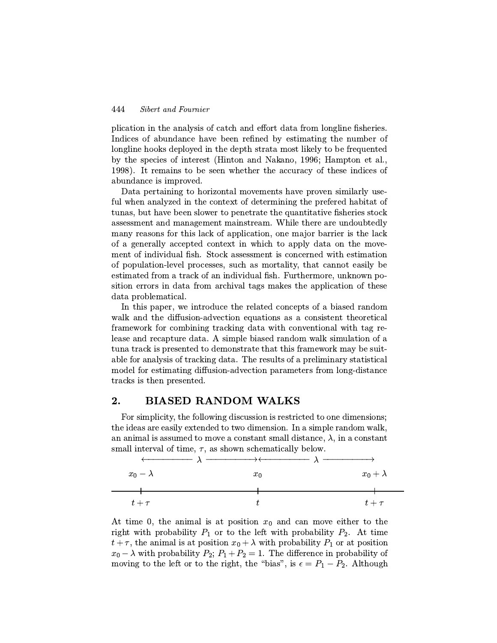plication in the analysis of catch and effort data from longline fisheries. Indices of abundance have been refined by estimating the number of longline hooks deployed in the depth strata most likely to be frequented by the species of interest (Hinton and Nakano, 1996; Hampton et al., 1998). It remains to be seen whether the accuracy of these indices of abundance is improved.

Data pertaining to horizontal movements have proven similarly useful when analyzed in the context of determining the prefered habitat of tunas, but have been slower to penetrate the quantitative fisheries stock assessment and management mainstream. While there are undoubtedly many reasons for this lack of application, one major barrier is the lack of a generally accepted context in which to apply data on the movement of individual fish. Stock assessment is concerned with estimation of population-level processes, such as mortality, that cannot easily be estimated from a track of an individual fish. Furthermore, unknown position errors in data from archival tags makes the application of these data problematical.

In this paper, we introduce the related concepts of a biased random walk and the diffusion-advection equations as a consistent theoretical framework for combining tracking data with conventional with tag release and recapture data. A simple biased random walk simulation of a tuna track is presented to demonstrate that this framework may be suitable for analysis of tracking data. The results of a preliminary statistical model for estimating diffusion-advection parameters from long-distance tracks is then presented.

## 2. BIASED RANDOM WALKS

For simplicity, the following discussion is restricted to one dimensions; the ideas are easily extended to two dimension. In a simple random walk, an animal is assumed to move a constant small distance,  $\lambda$ , in a constant small interval of time,  $\tau$ , as shown schematically below.



At time 0, the animal is at position  $x_0$  and can move either to the right with probability  $P_1$  or to the left with probability  $P_2$ . At time  $t + \tau$ , the animal is at position  $x_0 + \lambda$  with probability  $P_1$  or at position  $x_0 - \lambda$  with probability  $P_2$ ;  $P_1 + P_2 = 1$ . The difference in probability of moving to the left or to the right, the "bias", is  $\epsilon = P_1 - P_2$ . Although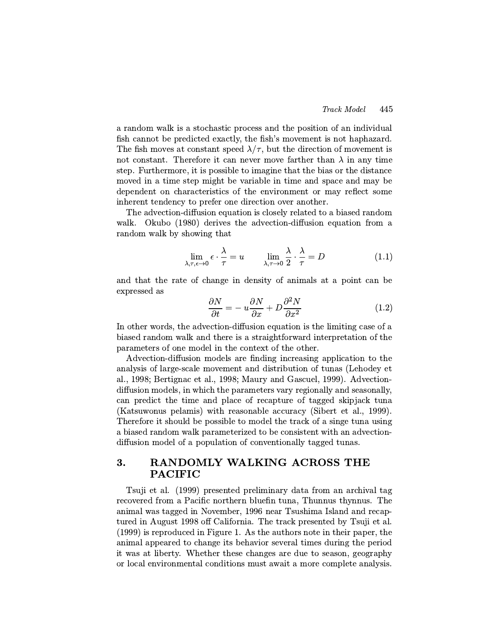a random walk is a stochastic process and the position of an individual fish cannot be predicted exactly, the fish's movement is not haphazard. The fish moves at constant speed  $\lambda/\tau$ , but the direction of movement is not constant. Therefore it can never move farther than  $\lambda$  in any time step. Furthermore, it is possible to imagine that the bias or the distance moved in a time step might be variable in time and space and may be dependent on characteristics of the environment or may reflect some inherent tendency to prefer one direction over another.

The advection-diffusion equation is closely related to a biased random walk. Okubo (1980) derives the advection-diffusion equation from a random walk by showing that

$$
\lim_{\lambda,\tau,\epsilon \to 0} \epsilon \cdot \frac{\lambda}{\tau} = u \qquad \lim_{\lambda,\tau \to 0} \frac{\lambda}{2} \cdot \frac{\lambda}{\tau} = D \tag{1.1}
$$

and that the rate of change in density of animals at a point can be expressed as

$$
\frac{\partial N}{\partial t} = -u \frac{\partial N}{\partial x} + D \frac{\partial^2 N}{\partial x^2}
$$
 (1.2)

In other words, the advection-diffusion equation is the limiting case of a biased random walk and there is a straightforward interpretation of the parameters of one model in the context of the other.

Advection-diffusion models are finding increasing application to the analysis of large-scale movement and distribution of tunas (Lehodey et al., 1998; Bertignac et al., 1998; Maury and Gascuel, 1999). Advectiondiffusion models, in which the parameters vary regionally and seasonally, can predict the time and place of recapture of tagged skipjack tuna (Katsuwonus pelamis) with reasonable accuracy (Sibert et al., 1999). Therefore it should be possible to model the track of a singe tuna using a biased random walk parameterized to be consistent with an advectiondiffusion model of a population of conventionally tagged tunas.

## 3. RANDOMLY WALKING ACROSS THE PACIFIC

Tsuji et al. (1999) presented preliminary data from an archival tag recovered from a Pacific northern bluefin tuna, Thunnus thynnus. The animal was tagged in November, 1996 near Tsushima Island and recaptured in August 1998 off California. The track presented by Tsuji et al. (1999) is reproduced in Figure 1. As the authors note in their paper, the animal appeared to change its behavior several times during the period it was at liberty. Whether these changes are due to season, geography or local environmental conditions must await a more complete analysis.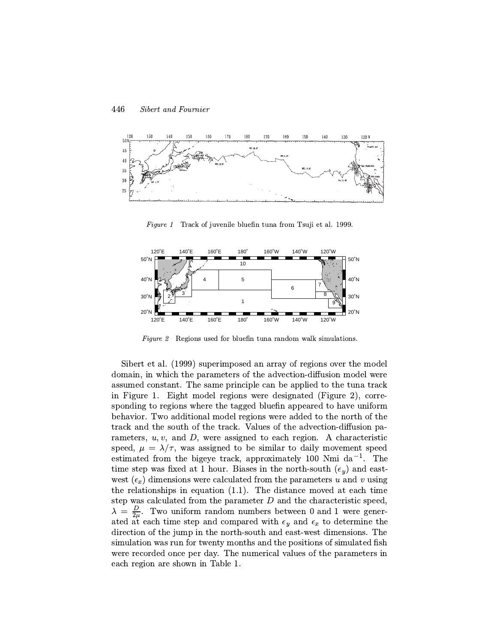

Figure 1 Track of juvenile bluefin tuna from Tsuji et al. 1999.



Figure  $2$  Regions used for bluefin tuna random walk simulations.

Sibert et al. (1999) superimposed an array of regions over the model domain, in which the parameters of the advection-diffusion model were assumed constant. The same principle can be applied to the tuna track in Figure 1. Eight model regions were designated (Figure 2), corresponding to regions where the tagged bluefin appeared to have uniform behavior. Two additional model regions were added to the north of the track and the south of the track. Values of the advection-diffusion parameters,  $u, v$ , and  $D$ , were assigned to each region. A characteristic speed,  $\mu = \lambda/\tau$ , was assigned to be similar to daily movement speed estimated from the bigeye track, approximately 100 Nmi da<sup>-1</sup>. The time step was fixed at 1 hour. Biases in the north-south  $(\epsilon_y)$  and eastwest  $(\epsilon_x)$  dimensions were calculated from the parameters u and v using the relationships in equation (1.1). The distance moved at each time step was calculated from the parameter  $D$  and the characteristic speed,  $\lambda = \frac{D}{2\mu}$ . Two uniform random numbers between 0 and 1 were generated at each time step and compared with  $\epsilon_y$  and  $\epsilon_x$  to determine the direction of the jump in the north-south and east-west dimensions. The simulation was run for twenty months and the positions of simulated fish were recorded once per day. The numerical values of the parameters in each region are shown in Table 1.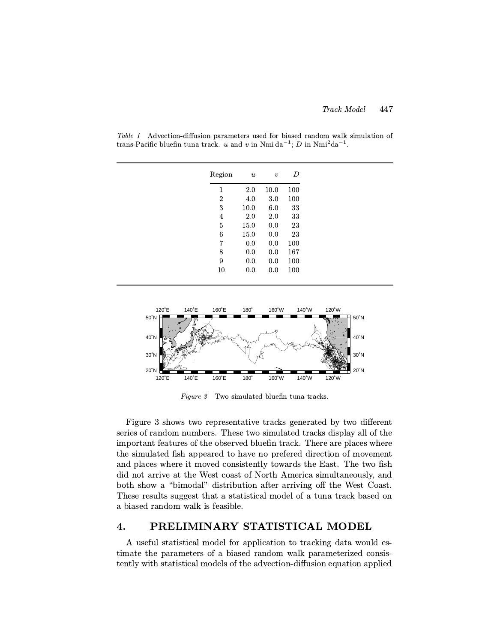| Region | $\boldsymbol{\mathit{u}}$ | $\boldsymbol{v}$ | D   |
|--------|---------------------------|------------------|-----|
| 1      | 2.0                       | 10.0             | 100 |
| 2      | 4.0                       | 3.0              | 100 |
| 3      | 10.0                      | 6.0              | 33  |
| 4      | 2.0                       | 2.0              | 33  |
| 5      | 15.0                      | 0.0              | 23  |
| 6      | 15.0                      | 0.0              | 23  |
| 7      | 0.0                       | 0.0              | 100 |
| 8      | 0.0                       | 0.0              | 167 |
| 9      | 0.0                       | 0.0              | 100 |
| 10     | 0.0                       | 0.0              | 100 |

Table 1 Advection-diffusion parameters used for biased random walk simulation of trans-Pacific bluefin tuna track. u and v in Nmi da<sup>-1</sup>; D in Nmi<sup>2</sup>da<sup>-1</sup>.



Figure 3 Two simulated bluefin tuna tracks.

Figure 3 shows two representative tracks generated by two different series of random numbers. These two simulated tracks display all of the important features of the observed bluefin track. There are places where the simulated fish appeared to have no prefered direction of movement and places where it moved consistently towards the East. The two fish did not arrive at the West coast of North America simultaneously, and both show a "bimodal" distribution after arriving off the West Coast. These results suggest that a statistical model of a tuna track based on a biased random walk is feasible.

### 4. PRELIMINARY STATISTICAL MODEL

A useful statistical model for application to tracking data would estimate the parameters of a biased random walk parameterized consistently with statistical models of the advection-diffusion equation applied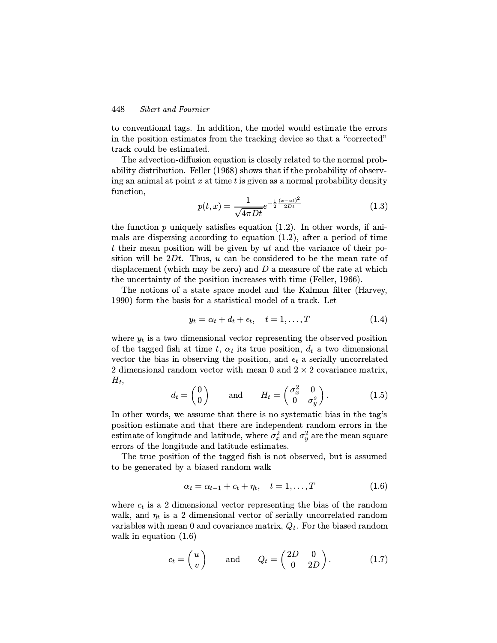to conventional tags. In addition, the model would estimate the errors in the position estimates from the tracking device so that a "corrected" track could be estimated.

The advection-diffusion equation is closely related to the normal probability distribution. Feller (1968) shows that if the probability of observing an animal at point x at time t is given as a normal probability density<br>function,  $1 + (x-ut)^2$ function,

$$
p(t,x) = \frac{1}{\sqrt{4\pi Dt}}e^{-\frac{1}{2}\frac{(x-ut)^2}{2Dt}}\tag{1.3}
$$

the function  $p$  uniquely satisfies equation  $(1.2)$ . In other words, if animals are dispersing according to equation  $(1.2)$ , after a period of time t their mean position will be given by  $ut$  and the variance of their position will be  $2Dt$ . Thus, u can be considered to be the mean rate of displacement (which may be zero) and  $D$  a measure of the rate at which the uncertainty of the position increases with time (Feller, 1966).

The notions of a state space model and the Kalman filter (Harvey, 1990) form the basis for a statistical model of a track. Let

$$
y_t = \alpha_t + d_t + \epsilon_t, \quad t = 1, \dots, T \tag{1.4}
$$

where  $y_t$  is a two dimensional vector representing the observed position of the tagged fish at time t,  $\alpha_t$  its true position,  $d_t$  a two dimensional vector the bias in observing the position, and  $\epsilon_t$  a serially uncorrelated 2 dimensional random vector with mean 0 and  $2 \times 2$  covariance matrix,  $H_t$ 

$$
d_t = \begin{pmatrix} 0 \\ 0 \end{pmatrix} \quad \text{and} \quad H_t = \begin{pmatrix} \sigma_x^2 & 0 \\ 0 & \sigma_y^s \end{pmatrix}.
$$
 (1.5)

In other words, we assume that there is no systematic bias in the tag's position estimate and that there are independent random errors in the estimate of longitude and latitude, where  $\sigma_x^2$  and  $\sigma_y^2$  are the mean square errors of the longitude and latitude estimates.

The true position of the tagged fish is not observed, but is assumed to be generated by a biased random walk

$$
\alpha_t = \alpha_{t-1} + c_t + \eta_t, \quad t = 1, \dots, T \tag{1.6}
$$

where  $c_t$  is a 2 dimensional vector representing the bias of the random walk, and  $\eta_t$  is a 2 dimensional vector of serially uncorrelated random variables with mean 0 and covariance matrix,  $Q_t$ . For the biased random walk in equation  $(1.6)$ 

$$
c_t = \begin{pmatrix} u \\ v \end{pmatrix} \quad \text{and} \quad Q_t = \begin{pmatrix} 2D & 0 \\ 0 & 2D \end{pmatrix} . \tag{1.7}
$$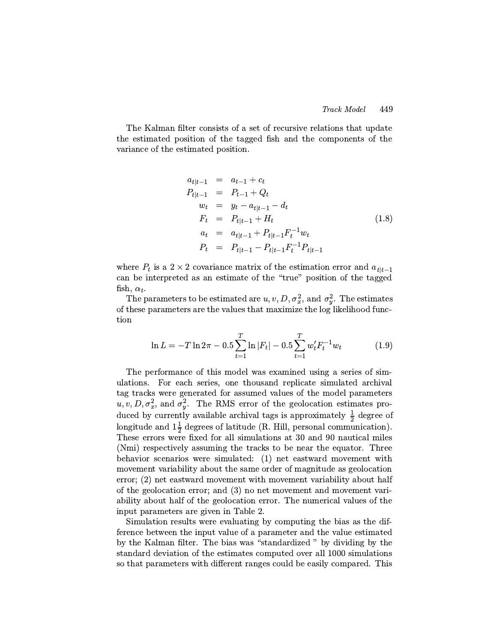The Kalman filter consists of a set of recursive relations that update the estimated position of the tagged fish and the components of the variance of the estimated position.

$$
a_{t|t-1} = a_{t-1} + c_t
$$
  
\n
$$
P_{t|t-1} = P_{t-1} + Q_t
$$
  
\n
$$
w_t = y_t - a_{t|t-1} - d_t
$$
  
\n
$$
F_t = P_{t|t-1} + H_t
$$
  
\n
$$
a_t = a_{t|t-1} + P_{t|t-1}F_t^{-1}w_t
$$
  
\n
$$
P_t = P_{t|t-1} - P_{t|t-1}F_t^{-1}P_{t|t-1}
$$
\n(1.8)

where  $P_t$  is a 2 × 2 covariance matrix of the estimation error and  $a_{t|t-1}$ can be interpreted as an estimate of the "true" position of the tagged fish,  $\alpha_t$ .

The parameters to be estimated are  $u, v, D, \sigma_x^2$ , and  $\sigma_y^2$ . The estimates of these parameters are the values that maximize the log likelihood function

$$
\ln L = -T \ln 2\pi - 0.5 \sum_{t=1}^{T} \ln |F_t| - 0.5 \sum_{t=1}^{T} w_t' F_t^{-1} w_t \tag{1.9}
$$

The performance of this model was examined using a series of simulations. For each series, one thousand replicate simulated archival tag tracks were generated for assumed values of the model parameters  $u, v, D, \sigma_x^2$ , and  $\sigma_y^2$ . The RMS error of the geolocation estimates produced by currently available archival tags is approximately  $\frac{1}{2}$  degree of longitude and  $1\frac{1}{2}$  degrees of latitude (R. Hill, personal communication). These errors were fixed for all simulations at 30 and 90 nautical miles (Nmi) respectively assuming the tracks to be near the equator. Three behavior scenarios were simulated: (1) net eastward movement with movement variability about the same order of magnitude as geolocation error; (2) net eastward movement with movement variability about half of the geolocation error; and (3) no net movement and movement variability about half of the geolocation error. The numerical values of the input parameters are given in Table 2.

Simulation results were evaluating by computing the bias as the difference between the input value of a parameter and the value estimated by the Kalman filter. The bias was "standardized " by dividing by the standard deviation of the estimates computed over all 1000 simulations so that parameters with different ranges could be easily compared. This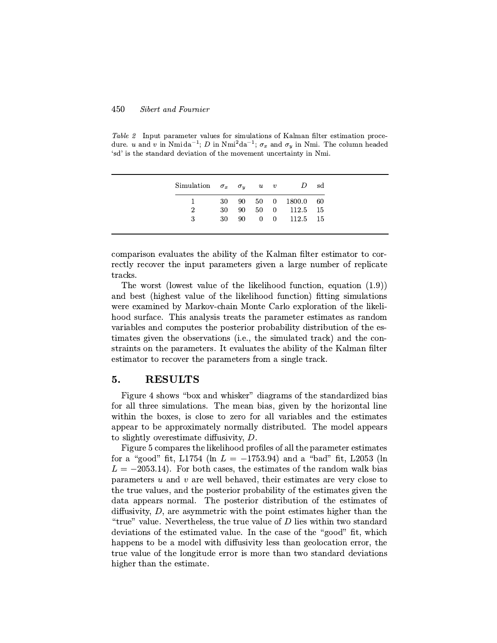Table 2 Input parameter values for simulations of Kalman filter estimation procedure. u and v in Nmi da<sup>-1</sup>; D in Nmi<sup>2</sup>da<sup>-1</sup>;  $\sigma_x$  and  $\sigma_y$  in Nmi. The column headed 'sd' is the standard deviation of the movement uncertainty in Nmi.

|             |  |  | Simulation $\sigma_x$ $\sigma_y$ u v D sd |  |
|-------------|--|--|-------------------------------------------|--|
|             |  |  | 30 90 50 0 1800.0 60                      |  |
| $2^{\circ}$ |  |  | 30 90 50 0 112.5 15                       |  |
| $3 -$       |  |  | 30 90 0 0 112.5 15                        |  |

comparison evaluates the ability of the Kalman filter estimator to correctly recover the input parameters given a large number of replicate tracks.

The worst (lowest value of the likelihood function, equation (1.9)) and best (highest value of the likelihood function) fitting simulations were examined by Markov-chain Monte Carlo exploration of the likelihood surface. This analysis treats the parameter estimates as random variables and computes the posterior probability distribution of the estimates given the observations (i.e., the simulated track) and the constraints on the parameters. It evaluates the ability of the Kalman filter estimator to recover the parameters from a single track.

### 5. RESULTS

Figure 4 shows "box and whisker" diagrams of the standardized bias for all three simulations. The mean bias, given by the horizontal line within the boxes, is close to zero for all variables and the estimates appear to be approximately normally distributed. The model appears to slightly overestimate diffusivity, D.

Figure 5 compares the likelihood profiles of all the parameter estimates for a "good" fit, L1754 (ln  $L = -1753.94$ ) and a "bad" fit, L2053 (ln  $L = -2053.14$ ). For both cases, the estimates of the random walk bias parameters  $u$  and  $v$  are well behaved, their estimates are very close to the true values, and the posterior probability of the estimates given the data appears normal. The posterior distribution of the estimates of diffusivity,  $D$ , are asymmetric with the point estimates higher than the "true" value. Nevertheless, the true value of  $D$  lies within two standard deviations of the estimated value. In the case of the "good" fit, which happens to be a model with diffusivity less than geolocation error, the true value of the longitude error is more than two standard deviations higher than the estimate.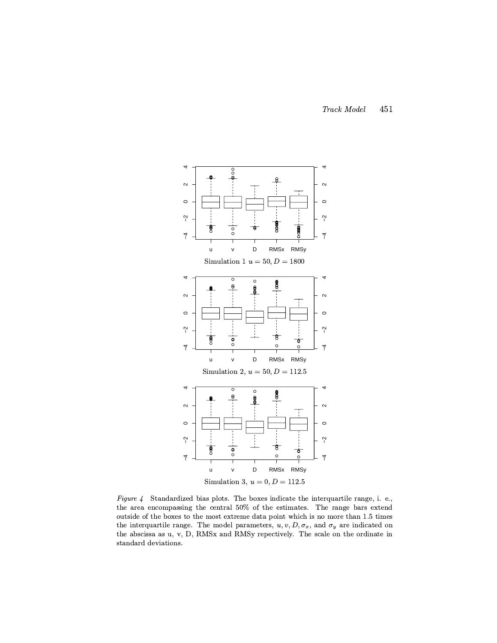

Figure 4 Standardized bias plots. The boxes indicate the interquartile range, i. e., the area encompassing the central 50% of the estimates. The range bars extend outside of the boxes to the most extreme data point which is no more than 1.5 times the interquartile range. The model parameters,  $u, v, D, \sigma_x$ , and  $\sigma_y$  are indicated on the abscissa as u, v, D, RMSx and RMSy repectively. The scale on the ordinate in standard deviations.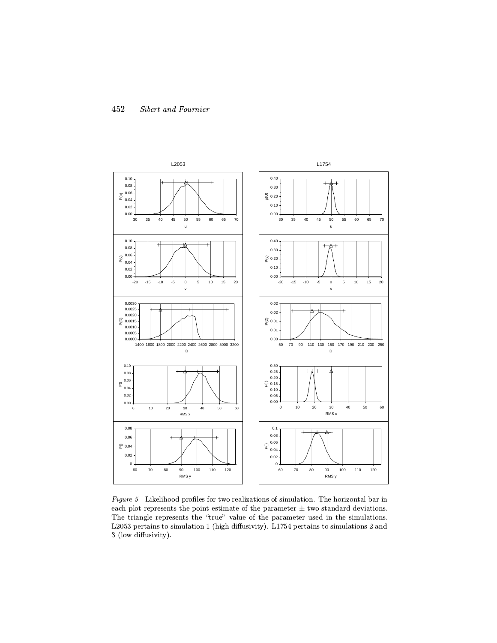

Figure 5 Likelihood profiles for two realizations of simulation. The horizontal bar in each plot represents the point estimate of the parameter  $\pm$  two standard deviations. The triangle represents the "true" value of the parameter used in the simulations. L2053 pertains to simulation 1 (high diffusivity). L1754 pertains to simulations 2 and 3 (low diffusivity).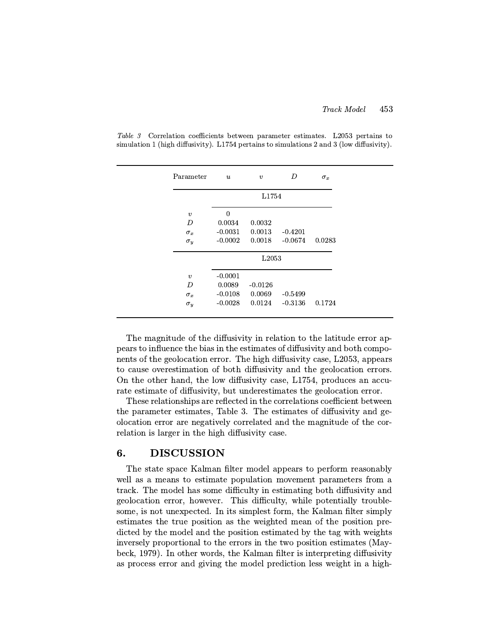| Parameter           | $\boldsymbol{u}$ | $\boldsymbol{v}$  | D         | $\sigma_x$ |
|---------------------|------------------|-------------------|-----------|------------|
|                     |                  | L1754             |           |            |
| $\boldsymbol{v}$    | $\Omega$         |                   |           |            |
| D                   | 0.0034           | 0.0032            |           |            |
| $\sigma_x$          | $-0.0031$        | 0.0013            | $-0.4201$ |            |
| $\sigma_y$          | $-0.0002$        | 0.0018            | $-0.0674$ | 0.0283     |
|                     |                  | L <sub>2053</sub> |           |            |
| $\boldsymbol{\eta}$ | $-0.0001$        |                   |           |            |
| D                   | 0.0089           | $-0.0126$         |           |            |
| $\sigma_x$          | $-0.0108$        | 0.0069            | $-0.5499$ |            |
| $\sigma_y$          | $-0.0028$        | 0.0124            | $-0.3136$ | 0.1724     |

Table 3 Correlation coefficients between parameter estimates. L2053 pertains to simulation 1 (high diffusivity). L1754 pertains to simulations 2 and 3 (low diffusivity).

The magnitude of the diffusivity in relation to the latitude error appears to influence the bias in the estimates of diffusivity and both components of the geolocation error. The high diffusivity case, L2053, appears to cause overestimation of both diffusivity and the geolocation errors. On the other hand, the low diffusivity case, L1754, produces an accurate estimate of diffusivity, but underestimates the geolocation error.

These relationships are reflected in the correlations coefficient between the parameter estimates, Table 3. The estimates of diffusivity and geolocation error are negatively correlated and the magnitude of the correlation is larger in the high diffusivity case.

### 6. DISCUSSION

The state space Kalman filter model appears to perform reasonably well as a means to estimate population movement parameters from a track. The model has some difficulty in estimating both diffusivity and geolocation error, however. This difficulty, while potentially troublesome, is not unexpected. In its simplest form, the Kalman filter simply estimates the true position as the weighted mean of the position predicted by the model and the position estimated by the tag with weights inversely proportional to the errors in the two position estimates (Maybeck, 1979). In other words, the Kalman filter is interpreting diffusivity as process error and giving the model prediction less weight in a high-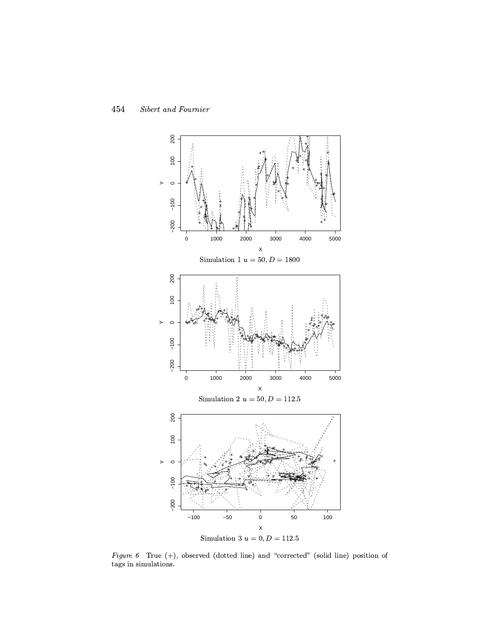

Figure 6 True (+), observed (dotted line) and "corrected" (solid line) position of tags in simulations.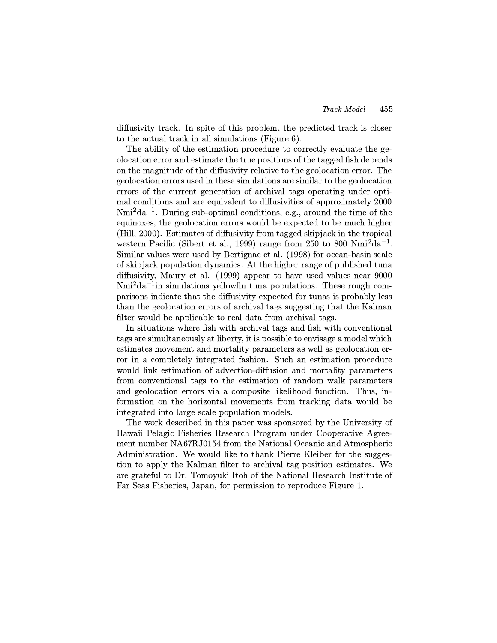diffusivity track. In spite of this problem, the predicted track is closer to the actual track in all simulations (Figure 6).

The ability of the estimation procedure to correctly evaluate the geolocation error and estimate the true positions of the tagged fish depends on the magnitude of the diffusivity relative to the geolocation error. The geolocation errors used in these simulations are similar to the geolocation errors of the current generation of archival tags operating under optimal conditions and are equivalent to diffusivities of approximately 2000 Nmi<sup>2</sup>da<sup>-1</sup>. During sub-optimal conditions, e.g., around the time of the equinoxes, the geolocation errors would be expected to be much higher (Hill, 2000). Estimates of diffusivity from tagged skipjack in the tropical western Pacific (Sibert et al., 1999) range from 250 to 800 Nmi<sup>2</sup>da<sup>-1</sup>. Similar values were used by Bertignac et al. (1998) for ocean-basin scale of skipjack population dynamics. At the higher range of published tuna diffusivity, Maury et al. (1999) appear to have used values near 9000 Nmi<sup>2</sup>da<sup>-1</sup>in simulations yellowfin tuna populations. These rough comparisons indicate that the diffusivity expected for tunas is probably less than the geolocation errors of archival tags suggesting that the Kalman filter would be applicable to real data from archival tags.

In situations where fish with archival tags and fish with conventional tags are simultaneously at liberty, it is possible to envisage a model which estimates movement and mortality parameters as well as geolocation error in a completely integrated fashion. Such an estimation procedure would link estimation of advection-diffusion and mortality parameters from conventional tags to the estimation of random walk parameters and geolocation errors via a composite likelihood function. Thus, information on the horizontal movements from tracking data would be integrated into large scale population models.

The work described in this paper was sponsored by the University of Hawaii Pelagic Fisheries Research Program under Cooperative Agreement number NA67RJ0154 from the National Oceanic and Atmospheric Administration. We would like to thank Pierre Kleiber for the suggestion to apply the Kalman filter to archival tag position estimates. We are grateful to Dr. Tomoyuki Itoh of the National Research Institute of Far Seas Fisheries, Japan, for permission to reproduce Figure 1.